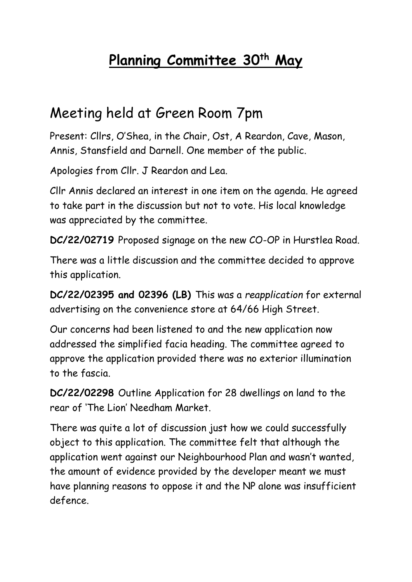## **Planning Committee 30th May**

## Meeting held at Green Room 7pm

Present: Cllrs, O'Shea, in the Chair, Ost, A Reardon, Cave, Mason, Annis, Stansfield and Darnell. One member of the public.

Apologies from Cllr. J Reardon and Lea.

Cllr Annis declared an interest in one item on the agenda. He agreed to take part in the discussion but not to vote. His local knowledge was appreciated by the committee.

**DC/22/02719** Proposed signage on the new CO-OP in Hurstlea Road.

There was a little discussion and the committee decided to approve this application.

**DC/22/02395 and 02396 (LB)** This was a *reapplication* for external advertising on the convenience store at 64/66 High Street.

Our concerns had been listened to and the new application now addressed the simplified facia heading. The committee agreed to approve the application provided there was no exterior illumination to the fascia.

**DC/22/02298** Outline Application for 28 dwellings on land to the rear of 'The Lion' Needham Market.

There was quite a lot of discussion just how we could successfully object to this application. The committee felt that although the application went against our Neighbourhood Plan and wasn't wanted, the amount of evidence provided by the developer meant we must have planning reasons to oppose it and the NP alone was insufficient defence.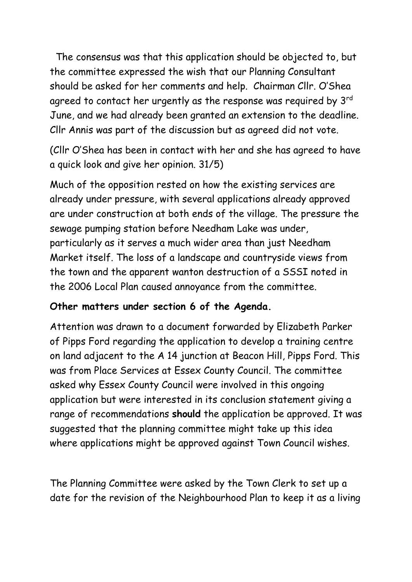The consensus was that this application should be objected to, but the committee expressed the wish that our Planning Consultant should be asked for her comments and help. Chairman Cllr. O'Shea agreed to contact her urgently as the response was required by 3<sup>rd</sup> June, and we had already been granted an extension to the deadline. Cllr Annis was part of the discussion but as agreed did not vote.

(Cllr O'Shea has been in contact with her and she has agreed to have a quick look and give her opinion. 31/5)

Much of the opposition rested on how the existing services are already under pressure, with several applications already approved are under construction at both ends of the village. The pressure the sewage pumping station before Needham Lake was under, particularly as it serves a much wider area than just Needham Market itself. The loss of a landscape and countryside views from the town and the apparent wanton destruction of a SSSI noted in the 2006 Local Plan caused annoyance from the committee.

## **Other matters under section 6 of the Agenda.**

Attention was drawn to a document forwarded by Elizabeth Parker of Pipps Ford regarding the application to develop a training centre on land adjacent to the A 14 junction at Beacon Hill, Pipps Ford. This was from Place Services at Essex County Council. The committee asked why Essex County Council were involved in this ongoing application but were interested in its conclusion statement giving a range of recommendations **should** the application be approved. It was suggested that the planning committee might take up this idea where applications might be approved against Town Council wishes.

The Planning Committee were asked by the Town Clerk to set up a date for the revision of the Neighbourhood Plan to keep it as a living